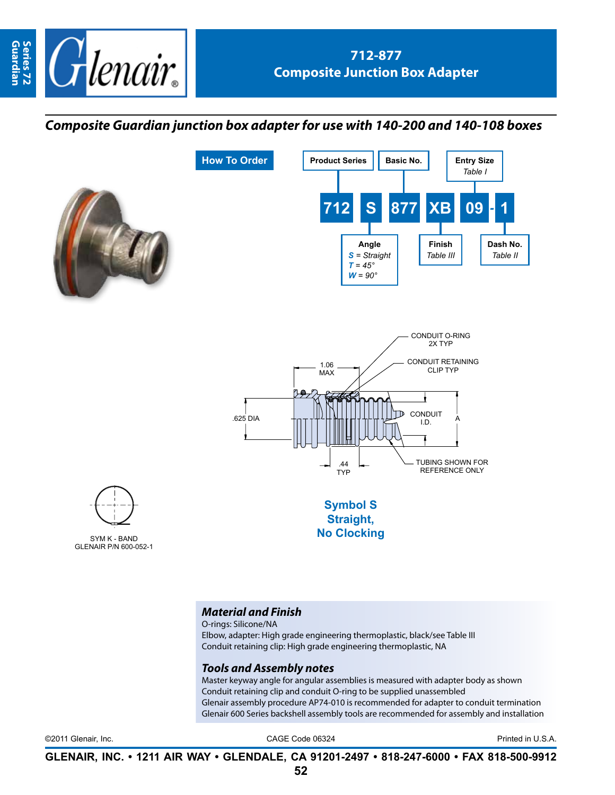

## *Composite Guardian junction box adapter for use with 140-200 and 140-108 boxes*





O-rings: Silicone/NA

Elbow, adapter: High grade engineering thermoplastic, black/see Table III Conduit retaining clip: High grade engineering thermoplastic, NA

## *Tools and Assembly notes*

Master keyway angle for angular assemblies is measured with adapter body as shown Conduit retaining clip and conduit O-ring to be supplied unassembled Glenair assembly procedure AP74-010 is recommended for adapter to conduit termination Glenair 600 Series backshell assembly tools are recommended for assembly and installation

©2011 Glenair, Inc. CAGE Code 06324 Printed in U.S.A.

**GLENAIR, INC. • 1211 AIR WAY • GLENDALE, CA 91201-2497 • 818-247-6000 • FAX 818-500-9912**